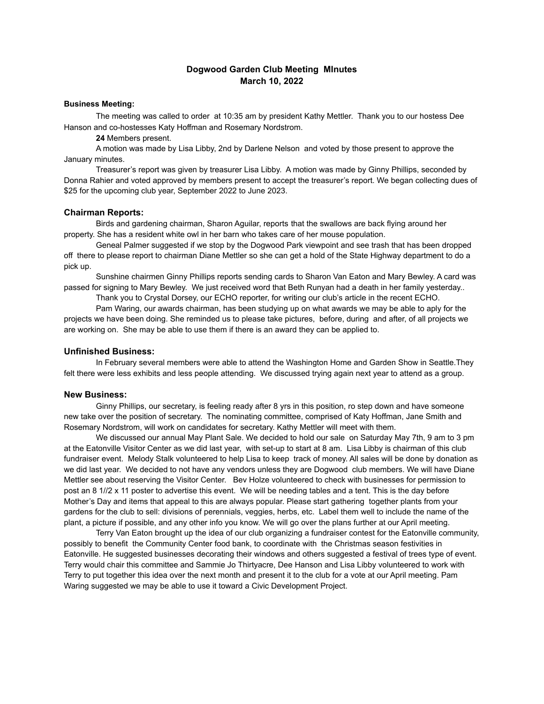# **Dogwood Garden Club Meeting MInutes March 10, 2022**

#### **Business Meeting:**

The meeting was called to order at 10:35 am by president Kathy Mettler. Thank you to our hostess Dee Hanson and co-hostesses Katy Hoffman and Rosemary Nordstrom.

**24** Members present.

A motion was made by Lisa Libby, 2nd by Darlene Nelson and voted by those present to approve the January minutes.

Treasurer's report was given by treasurer Lisa Libby. A motion was made by Ginny Phillips, seconded by Donna Rahier and voted approved by members present to accept the treasurer's report. We began collecting dues of \$25 for the upcoming club year, September 2022 to June 2023.

#### **Chairman Reports:**

Birds and gardening chairman, Sharon Aguilar, reports that the swallows are back flying around her property. She has a resident white owl in her barn who takes care of her mouse population.

Geneal Palmer suggested if we stop by the Dogwood Park viewpoint and see trash that has been dropped off there to please report to chairman Diane Mettler so she can get a hold of the State Highway department to do a pick up.

Sunshine chairmen Ginny Phillips reports sending cards to Sharon Van Eaton and Mary Bewley. A card was passed for signing to Mary Bewley. We just received word that Beth Runyan had a death in her family yesterday..

Thank you to Crystal Dorsey, our ECHO reporter, for writing our club's article in the recent ECHO.

Pam Waring, our awards chairman, has been studying up on what awards we may be able to aply for the projects we have been doing. She reminded us to please take pictures, before, during and after, of all projects we are working on. She may be able to use them if there is an award they can be applied to.

## **Unfinished Business:**

In February several members were able to attend the Washington Home and Garden Show in Seattle.They felt there were less exhibits and less people attending. We discussed trying again next year to attend as a group.

## **New Business:**

Ginny Phillips, our secretary, is feeling ready after 8 yrs in this position, ro step down and have someone new take over the position of secretary. The nominating committee, comprised of Katy Hoffman, Jane Smith and Rosemary Nordstrom, will work on candidates for secretary. Kathy Mettler will meet with them.

We discussed our annual May Plant Sale. We decided to hold our sale on Saturday May 7th, 9 am to 3 pm at the Eatonville Visitor Center as we did last year, with set-up to start at 8 am. Lisa Libby is chairman of this club fundraiser event. Melody Stalk volunteered to help Lisa to keep track of money. All sales will be done by donation as we did last year. We decided to not have any vendors unless they are Dogwood club members. We will have Diane Mettler see about reserving the Visitor Center. Bev Holze volunteered to check with businesses for permission to post an 8 1//2 x 11 poster to advertise this event. We will be needing tables and a tent. This is the day before Mother's Day and items that appeal to this are always popular. Please start gathering together plants from your gardens for the club to sell: divisions of perennials, veggies, herbs, etc. Label them well to include the name of the plant, a picture if possible, and any other info you know. We will go over the plans further at our April meeting.

Terry Van Eaton brought up the idea of our club organizing a fundraiser contest for the Eatonville community, possibly to benefit the Community Center food bank, to coordinate with the Christmas season festivities in Eatonville. He suggested businesses decorating their windows and others suggested a festival of trees type of event. Terry would chair this committee and Sammie Jo Thirtyacre, Dee Hanson and Lisa Libby volunteered to work with Terry to put together this idea over the next month and present it to the club for a vote at our April meeting. Pam Waring suggested we may be able to use it toward a Civic Development Project.